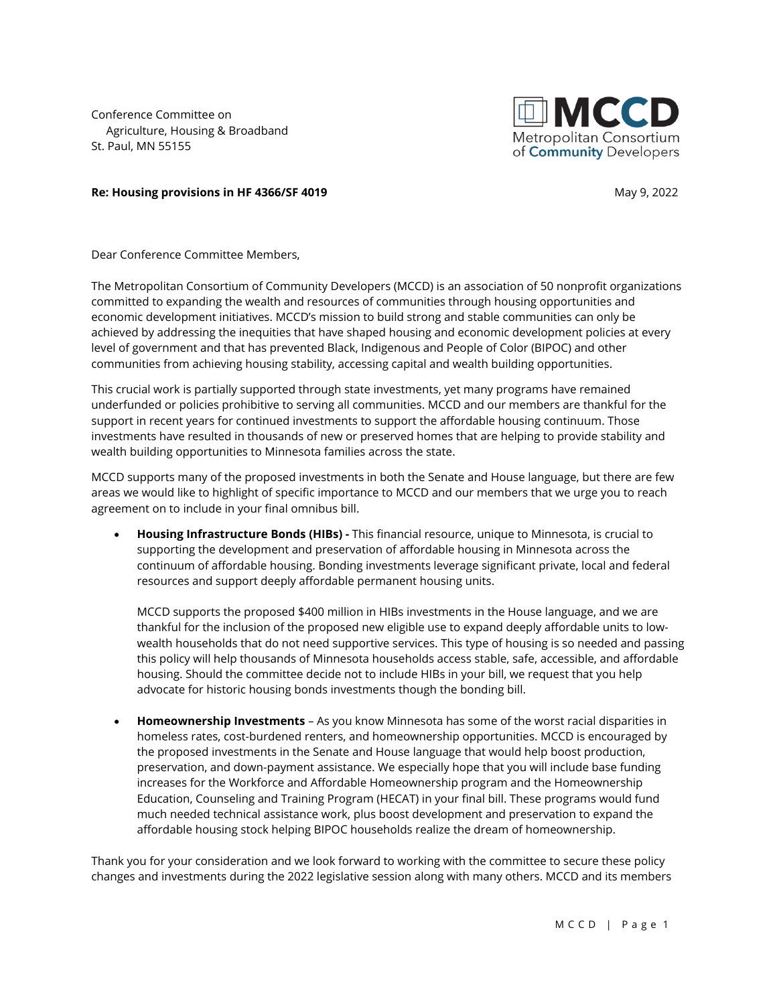Conference Committee on Agriculture, Housing & Broadband St. Paul, MN 55155



## **Re: Housing provisions in HF 4366/SF 4019 May 9, 2022 May 9, 2022**

Dear Conference Committee Members,

The Metropolitan Consortium of Community Developers (MCCD) is an association of 50 nonprofit organizations committed to expanding the wealth and resources of communities through housing opportunities and economic development initiatives. MCCD's mission to build strong and stable communities can only be achieved by addressing the inequities that have shaped housing and economic development policies at every level of government and that has prevented Black, Indigenous and People of Color (BIPOC) and other communities from achieving housing stability, accessing capital and wealth building opportunities.

This crucial work is partially supported through state investments, yet many programs have remained underfunded or policies prohibitive to serving all communities. MCCD and our members are thankful for the support in recent years for continued investments to support the affordable housing continuum. Those investments have resulted in thousands of new or preserved homes that are helping to provide stability and wealth building opportunities to Minnesota families across the state.

MCCD supports many of the proposed investments in both the Senate and House language, but there are few areas we would like to highlight of specific importance to MCCD and our members that we urge you to reach agreement on to include in your final omnibus bill.

• **Housing Infrastructure Bonds (HIBs) -** This financial resource, unique to Minnesota, is crucial to supporting the development and preservation of affordable housing in Minnesota across the continuum of affordable housing. Bonding investments leverage significant private, local and federal resources and support deeply affordable permanent housing units.

MCCD supports the proposed \$400 million in HIBs investments in the House language, and we are thankful for the inclusion of the proposed new eligible use to expand deeply affordable units to lowwealth households that do not need supportive services. This type of housing is so needed and passing this policy will help thousands of Minnesota households access stable, safe, accessible, and affordable housing. Should the committee decide not to include HIBs in your bill, we request that you help advocate for historic housing bonds investments though the bonding bill.

• **Homeownership Investments** – As you know Minnesota has some of the worst racial disparities in homeless rates, cost-burdened renters, and homeownership opportunities. MCCD is encouraged by the proposed investments in the Senate and House language that would help boost production, preservation, and down-payment assistance. We especially hope that you will include base funding increases for the Workforce and Affordable Homeownership program and the Homeownership Education, Counseling and Training Program (HECAT) in your final bill. These programs would fund much needed technical assistance work, plus boost development and preservation to expand the affordable housing stock helping BIPOC households realize the dream of homeownership.

Thank you for your consideration and we look forward to working with the committee to secure these policy changes and investments during the 2022 legislative session along with many others. MCCD and its members